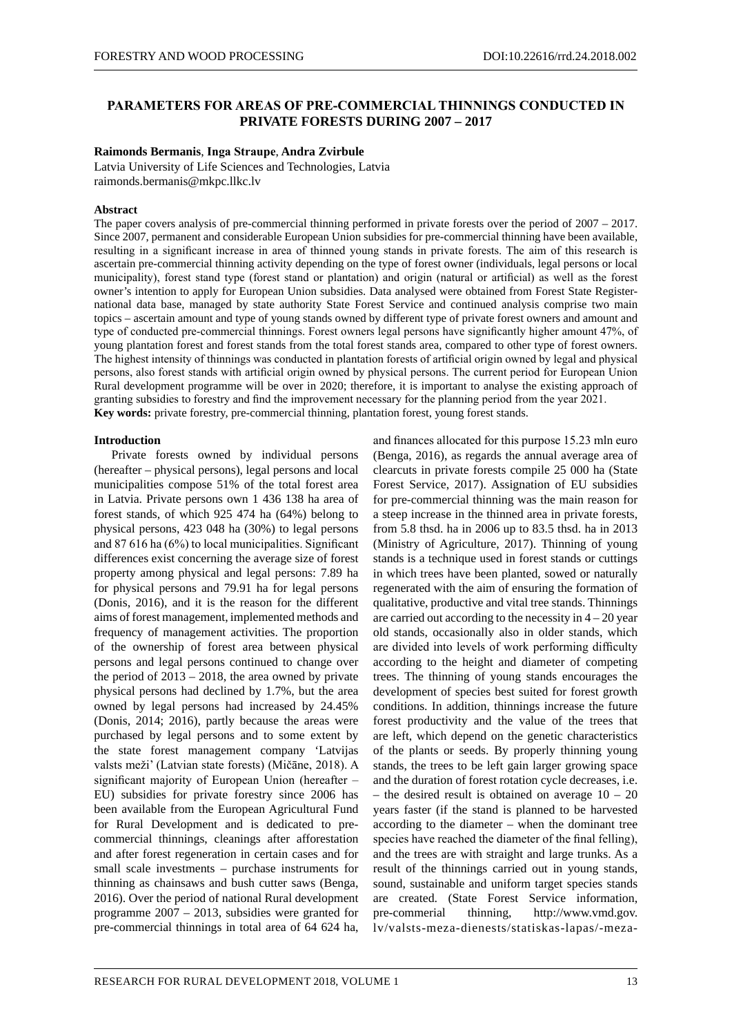# **PARAMETERS FOR AREAS OF PRE-COMMERCIAL THINNINGS CONDUCTED IN PRIVATE FORESTS DURING 2007 – 2017**

## **Raimonds Bermanis**, **Inga Straupe**, **Andra Zvirbule**

Latvia University of Life Sciences and Technologies, Latvia raimonds.bermanis@mkpc.llkc.lv

### **Abstract**

The paper covers analysis of pre-commercial thinning performed in private forests over the period of 2007 – 2017. Since 2007, permanent and considerable European Union subsidies for pre-commercial thinning have been available, resulting in a significant increase in area of thinned young stands in private forests. The aim of this research is ascertain pre-commercial thinning activity depending on the type of forest owner (individuals, legal persons or local municipality), forest stand type (forest stand or plantation) and origin (natural or artificial) as well as the forest owner's intention to apply for European Union subsidies. Data analysed were obtained from Forest State Registernational data base, managed by state authority State Forest Service and continued analysis comprise two main topics – ascertain amount and type of young stands owned by different type of private forest owners and amount and type of conducted pre-commercial thinnings. Forest owners legal persons have significantly higher amount 47%, of young plantation forest and forest stands from the total forest stands area, compared to other type of forest owners. The highest intensity of thinnings was conducted in plantation forests of artificial origin owned by legal and physical persons, also forest stands with artificial origin owned by physical persons. The current period for European Union Rural development programme will be over in 2020; therefore, it is important to analyse the existing approach of granting subsidies to forestry and find the improvement necessary for the planning period from the year 2021. **Key words:** private forestry, pre-commercial thinning, plantation forest, young forest stands.

## **Introduction**

Private forests owned by individual persons (hereafter – physical persons), legal persons and local municipalities compose 51% of the total forest area in Latvia. Private persons own 1 436 138 ha area of forest stands, of which 925 474 ha (64%) belong to physical persons, 423 048 ha (30%) to legal persons and 87 616 ha (6%) to local municipalities. Significant differences exist concerning the average size of forest property among physical and legal persons: 7.89 ha for physical persons and 79.91 ha for legal persons (Donis, 2016), and it is the reason for the different aims of forest management, implemented methods and frequency of management activities. The proportion of the ownership of forest area between physical persons and legal persons continued to change over the period of  $2013 - 2018$ , the area owned by private physical persons had declined by 1.7%, but the area owned by legal persons had increased by 24.45% (Donis, 2014; 2016), partly because the areas were purchased by legal persons and to some extent by the state forest management company 'Latvijas valsts meži' (Latvian state forests) (Mičāne, 2018). A significant majority of European Union (hereafter – EU) subsidies for private forestry since 2006 has been available from the European Agricultural Fund for Rural Development and is dedicated to precommercial thinnings, cleanings after afforestation and after forest regeneration in certain cases and for small scale investments – purchase instruments for thinning as chainsaws and bush cutter saws (Benga, 2016). Over the period of national Rural development programme 2007 – 2013, subsidies were granted for pre-commercial thinnings in total area of 64 624 ha,

and finances allocated for this purpose 15.23 mln euro (Benga, 2016), as regards the annual average area of clearcuts in private forests compile 25 000 ha (State Forest Service, 2017). Assignation of EU subsidies for pre-commercial thinning was the main reason for a steep increase in the thinned area in private forests, from 5.8 thsd. ha in 2006 up to 83.5 thsd. ha in 2013 (Ministry of Agriculture, 2017). Thinning of young stands is a technique used in forest stands or cuttings in which trees have been planted, sowed or naturally regenerated with the aim of ensuring the formation of qualitative, productive and vital tree stands. Thinnings are carried out according to the necessity in  $4 - 20$  year old stands, occasionally also in older stands, which are divided into levels of work performing difficulty according to the height and diameter of competing trees. The thinning of young stands encourages the development of species best suited for forest growth conditions. In addition, thinnings increase the future forest productivity and the value of the trees that are left, which depend on the genetic characteristics of the plants or seeds. By properly thinning young stands, the trees to be left gain larger growing space and the duration of forest rotation cycle decreases, i.e. – the desired result is obtained on average  $10 - 20$ years faster (if the stand is planned to be harvested according to the diameter – when the dominant tree species have reached the diameter of the final felling), and the trees are with straight and large trunks. As a result of the thinnings carried out in young stands, sound, sustainable and uniform target species stands are created. (State Forest Service information, pre-commerial thinning, http://www.vmd.gov. lv/valsts-meza-dienests/statiskas-lapas/-meza-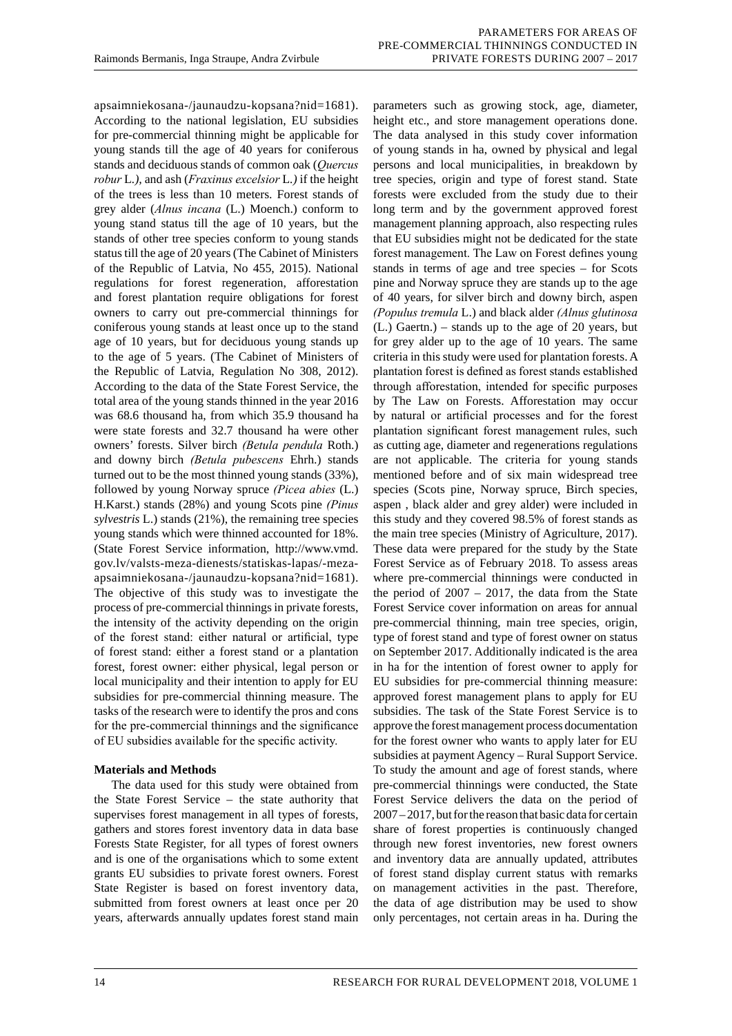apsaimniekosana-/jaunaudzu-kopsana?nid=1681). According to the national legislation, EU subsidies for pre-commercial thinning might be applicable for young stands till the age of 40 years for coniferous stands and deciduous stands of common oak (*Quercus robur* L*.),* and ash (*Fraxinus excelsior* L*.)* if the height of the trees is less than 10 meters. Forest stands of grey alder (*Alnus incana* (L.) Moench.) conform to young stand status till the age of 10 years, but the stands of other tree species conform to young stands status till the age of 20 years (The Cabinet of Ministers of the Republic of Latvia, No 455, 2015). National regulations for forest regeneration, afforestation and forest plantation require obligations for forest owners to carry out pre-commercial thinnings for coniferous young stands at least once up to the stand age of 10 years, but for deciduous young stands up to the age of 5 years. (The Cabinet of Ministers of the Republic of Latvia, Regulation No 308, 2012). According to the data of the State Forest Service, the total area of the young stands thinned in the year 2016 was 68.6 thousand ha, from which 35.9 thousand ha were state forests and 32.7 thousand ha were other owners' forests. Silver birch *(Betula pendula* Roth.) and downy birch *(Betula pubescens* Ehrh.) stands turned out to be the most thinned young stands (33%), followed by young Norway spruce *(Picea abies* (L.) H.Karst.) stands (28%) and young Scots pine *(Pinus sylvestris* L.) stands (21%), the remaining tree species young stands which were thinned accounted for 18%. (State Forest Service information, http://www.vmd. gov.lv/valsts-meza-dienests/statiskas-lapas/-mezaapsaimniekosana-/jaunaudzu-kopsana?nid=1681). The objective of this study was to investigate the process of pre-commercial thinnings in private forests, the intensity of the activity depending on the origin of the forest stand: either natural or artificial, type of forest stand: either a forest stand or a plantation forest, forest owner: either physical, legal person or local municipality and their intention to apply for EU subsidies for pre-commercial thinning measure. The tasks of the research were to identify the pros and cons for the pre-commercial thinnings and the significance of EU subsidies available for the specific activity.

# **Materials and Methods**

The data used for this study were obtained from the State Forest Service – the state authority that supervises forest management in all types of forests, gathers and stores forest inventory data in data base Forests State Register, for all types of forest owners and is one of the organisations which to some extent grants EU subsidies to private forest owners. Forest State Register is based on forest inventory data, submitted from forest owners at least once per 20 years, afterwards annually updates forest stand main

parameters such as growing stock, age, diameter, height etc., and store management operations done. The data analysed in this study cover information of young stands in ha, owned by physical and legal persons and local municipalities, in breakdown by tree species, origin and type of forest stand. State forests were excluded from the study due to their long term and by the government approved forest management planning approach, also respecting rules that EU subsidies might not be dedicated for the state forest management. The Law on Forest defines young stands in terms of age and tree species – for Scots pine and Norway spruce they are stands up to the age of 40 years, for silver birch and downy birch, aspen *(Populus tremula* L.) and black alder *(Alnus glutinosa*  (L.) Gaertn.) – stands up to the age of 20 years, but for grey alder up to the age of 10 years. The same criteria in this study were used for plantation forests. A plantation forest is defined as forest stands established through afforestation, intended for specific purposes by The Law on Forests. Afforestation may occur by natural or artificial processes and for the forest plantation significant forest management rules, such as cutting age, diameter and regenerations regulations are not applicable. The criteria for young stands mentioned before and of six main widespread tree species (Scots pine, Norway spruce, Birch species, aspen , black alder and grey alder) were included in this study and they covered 98.5% of forest stands as the main tree species (Ministry of Agriculture, 2017). These data were prepared for the study by the State Forest Service as of February 2018. To assess areas where pre-commercial thinnings were conducted in the period of  $2007 - 2017$ , the data from the State Forest Service cover information on areas for annual pre-commercial thinning, main tree species, origin, type of forest stand and type of forest owner on status on September 2017. Additionally indicated is the area in ha for the intention of forest owner to apply for EU subsidies for pre-commercial thinning measure: approved forest management plans to apply for EU subsidies. The task of the State Forest Service is to approve the forest management process documentation for the forest owner who wants to apply later for EU subsidies at payment Agency – Rural Support Service. To study the amount and age of forest stands, where pre-commercial thinnings were conducted, the State Forest Service delivers the data on the period of 2007 – 2017, but for the reason that basic data for certain share of forest properties is continuously changed through new forest inventories, new forest owners and inventory data are annually updated, attributes of forest stand display current status with remarks on management activities in the past. Therefore, the data of age distribution may be used to show only percentages, not certain areas in ha. During the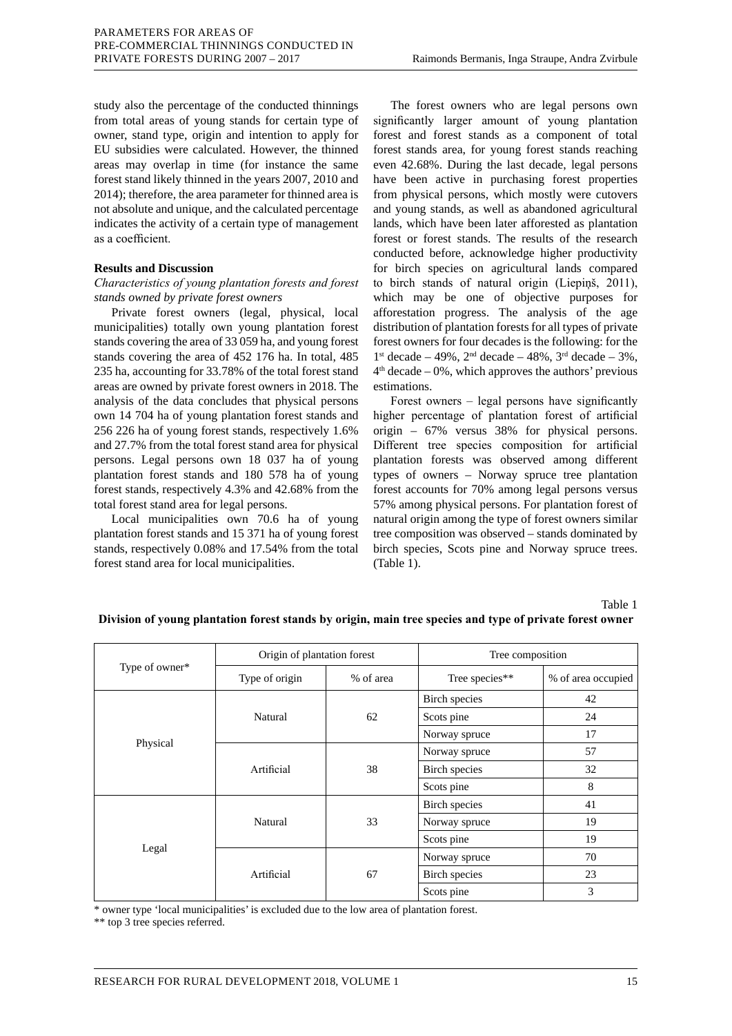study also the percentage of the conducted thinnings from total areas of young stands for certain type of owner, stand type, origin and intention to apply for EU subsidies were calculated. However, the thinned areas may overlap in time (for instance the same forest stand likely thinned in the years 2007, 2010 and 2014); therefore, the area parameter for thinned area is not absolute and unique, and the calculated percentage indicates the activity of a certain type of management as a coefficient.

## **Results and Discussion**

## *Characteristics of young plantation forests and forest stands owned by private forest owners*

Private forest owners (legal, physical, local municipalities) totally own young plantation forest stands covering the area of 33 059 ha, and young forest stands covering the area of 452 176 ha. In total, 485 235 ha, accounting for 33.78% of the total forest stand areas are owned by private forest owners in 2018. The analysis of the data concludes that physical persons own 14 704 ha of young plantation forest stands and 256 226 ha of young forest stands, respectively 1.6% and 27.7% from the total forest stand area for physical persons. Legal persons own 18 037 ha of young plantation forest stands and 180 578 ha of young forest stands, respectively 4.3% and 42.68% from the total forest stand area for legal persons.

Local municipalities own 70.6 ha of young plantation forest stands and 15 371 ha of young forest stands, respectively 0.08% and 17.54% from the total forest stand area for local municipalities.

The forest owners who are legal persons own significantly larger amount of young plantation forest and forest stands as a component of total forest stands area, for young forest stands reaching even 42.68%. During the last decade, legal persons have been active in purchasing forest properties from physical persons, which mostly were cutovers and young stands, as well as abandoned agricultural lands, which have been later afforested as plantation forest or forest stands. The results of the research conducted before, acknowledge higher productivity for birch species on agricultural lands compared to birch stands of natural origin (Liepiņš, 2011), which may be one of objective purposes for afforestation progress. The analysis of the age distribution of plantation forests for all types of private forest owners for four decades is the following: for the 1<sup>st</sup> decade – 49%, 2<sup>nd</sup> decade – 48%, 3<sup>rd</sup> decade – 3%,  $4<sup>th</sup> decade – 0%$ , which approves the authors' previous estimations.

Forest owners – legal persons have significantly higher percentage of plantation forest of artificial origin – 67% versus 38% for physical persons. Different tree species composition for artificial plantation forests was observed among different types of owners – Norway spruce tree plantation forest accounts for 70% among legal persons versus 57% among physical persons. For plantation forest of natural origin among the type of forest owners similar tree composition was observed – stands dominated by birch species, Scots pine and Norway spruce trees. (Table 1).

Table 1

| Type of owner* | Origin of plantation forest |           | Tree composition     |                    |
|----------------|-----------------------------|-----------|----------------------|--------------------|
|                | Type of origin              | % of area | Tree species**       | % of area occupied |
| Physical       | Natural                     | 62        | Birch species        | 42                 |
|                |                             |           | Scots pine           | 24                 |
|                |                             |           | Norway spruce        | 17                 |
|                | Artificial                  | 38        | Norway spruce        | 57                 |
|                |                             |           | <b>Birch</b> species | 32                 |
|                |                             |           | Scots pine           | 8                  |
| Legal          | Natural                     | 33        | Birch species        | 41                 |
|                |                             |           | Norway spruce        | 19                 |
|                |                             |           | Scots pine           | 19                 |
|                | Artificial                  | 67        | Norway spruce        | 70                 |
|                |                             |           | Birch species        | 23                 |
|                |                             |           | Scots pine           | 3                  |

## **Division of young plantation forest stands by origin, main tree species and type of private forest owner**

\* owner type 'local municipalities' is excluded due to the low area of plantation forest.

\*\* top 3 tree species referred.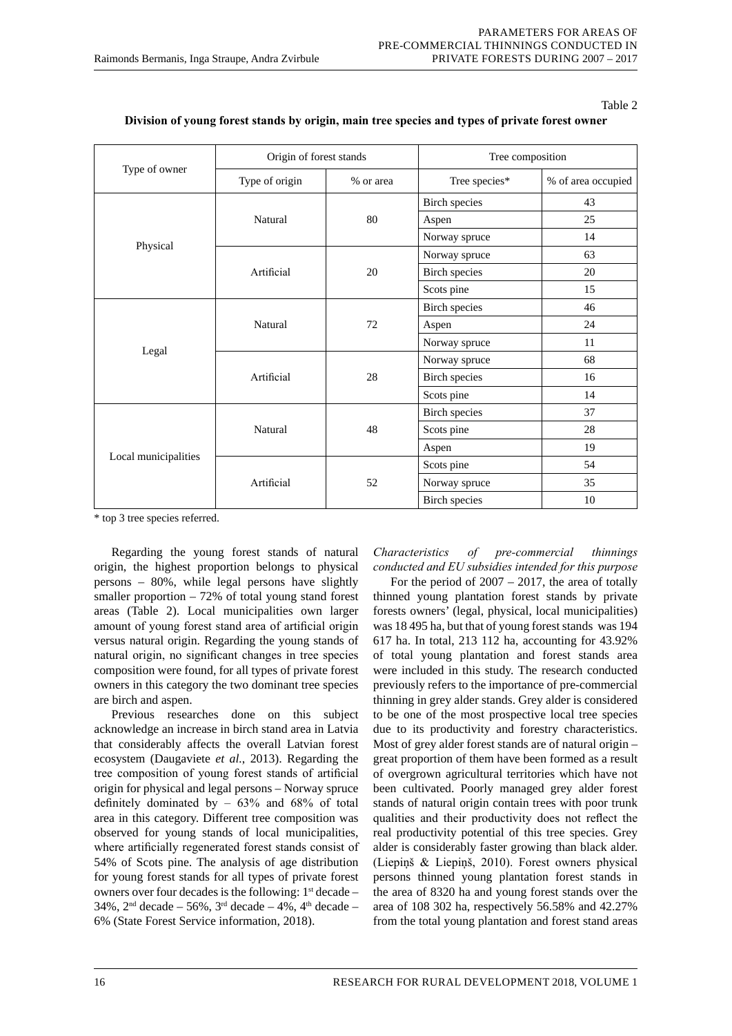#### Table 2

| Type of owner        | Origin of forest stands |           | Tree composition     |                    |
|----------------------|-------------------------|-----------|----------------------|--------------------|
|                      | Type of origin          | % or area | Tree species*        | % of area occupied |
| Physical             | Natural                 | 80        | <b>Birch</b> species | 43                 |
|                      |                         |           | Aspen                | 25                 |
|                      |                         |           | Norway spruce        | 14                 |
|                      | Artificial              | 20        | Norway spruce        | 63                 |
|                      |                         |           | <b>Birch</b> species | 20                 |
|                      |                         |           | Scots pine           | 15                 |
| Legal                | Natural                 | 72        | <b>Birch species</b> | 46                 |
|                      |                         |           | Aspen                | 24                 |
|                      |                         |           | Norway spruce        | 11                 |
|                      | Artificial              | 28        | Norway spruce        | 68                 |
|                      |                         |           | <b>Birch</b> species | 16                 |
|                      |                         |           | Scots pine           | 14                 |
| Local municipalities | Natural                 | 48        | <b>Birch</b> species | 37                 |
|                      |                         |           | Scots pine           | 28                 |
|                      |                         |           | Aspen                | 19                 |
|                      | Artificial              | 52        | Scots pine           | 54                 |
|                      |                         |           | Norway spruce        | 35                 |
|                      |                         |           | <b>Birch</b> species | 10                 |

#### **Division of young forest stands by origin, main tree species and types of private forest owner**

\* top 3 tree species referred.

Regarding the young forest stands of natural origin, the highest proportion belongs to physical persons – 80%, while legal persons have slightly smaller proportion – 72% of total young stand forest areas (Table 2). Local municipalities own larger amount of young forest stand area of artificial origin versus natural origin. Regarding the young stands of natural origin, no significant changes in tree species composition were found, for all types of private forest owners in this category the two dominant tree species are birch and aspen.

Previous researches done on this subject acknowledge an increase in birch stand area in Latvia that considerably affects the overall Latvian forest ecosystem (Daugaviete *et al.*, 2013). Regarding the tree composition of young forest stands of artificial origin for physical and legal persons – Norway spruce definitely dominated by – 63% and 68% of total area in this category. Different tree composition was observed for young stands of local municipalities, where artificially regenerated forest stands consist of 54% of Scots pine. The analysis of age distribution for young forest stands for all types of private forest owners over four decades is the following:  $1<sup>st</sup>$  decade –  $34\%$ ,  $2<sup>nd</sup>$  decade – 56%,  $3<sup>rd</sup>$  decade – 4%,  $4<sup>th</sup>$  decade – 6% (State Forest Service information, 2018).

*Characteristics of pre-commercial thinnings conducted and EU subsidies intended for this purpose*

For the period of  $2007 - 2017$ , the area of totally thinned young plantation forest stands by private forests owners' (legal, physical, local municipalities) was 18 495 ha, but that of young forest stands was 194 617 ha. In total, 213 112 ha, accounting for 43.92% of total young plantation and forest stands area were included in this study. The research conducted previously refers to the importance of pre-commercial thinning in grey alder stands. Grey alder is considered to be one of the most prospective local tree species due to its productivity and forestry characteristics. Most of grey alder forest stands are of natural origin – great proportion of them have been formed as a result of overgrown agricultural territories which have not been cultivated. Poorly managed grey alder forest stands of natural origin contain trees with poor trunk qualities and their productivity does not reflect the real productivity potential of this tree species. Grey alder is considerably faster growing than black alder. (Liepiņš & Liepiņš, 2010). Forest owners physical persons thinned young plantation forest stands in the area of 8320 ha and young forest stands over the area of 108 302 ha, respectively 56.58% and 42.27% from the total young plantation and forest stand areas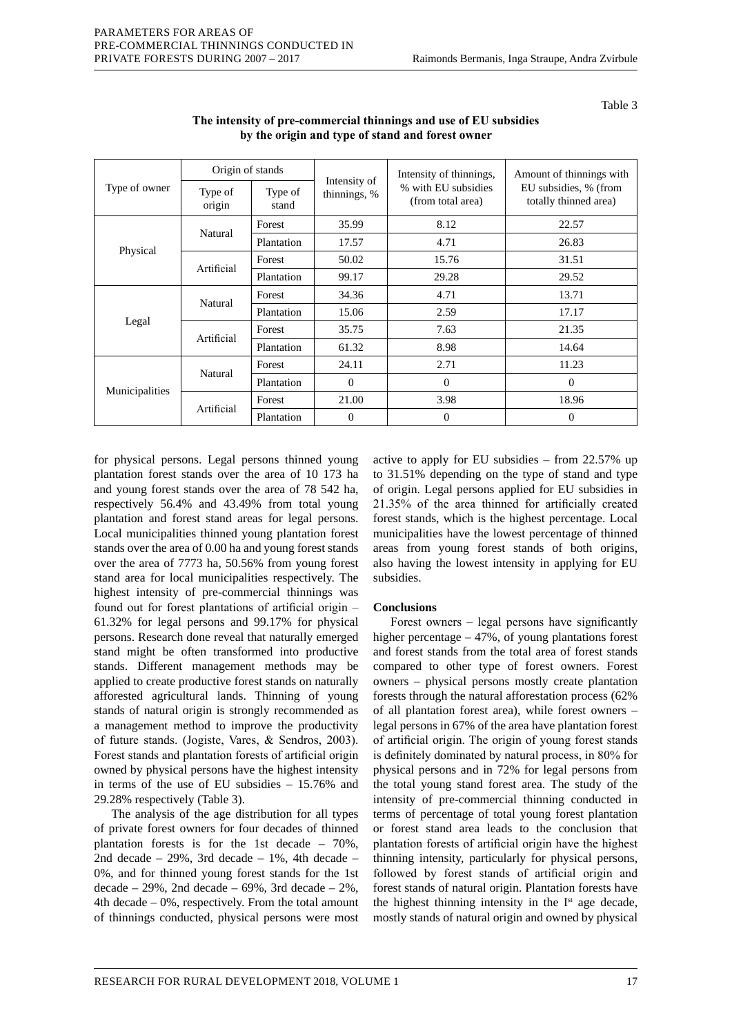#### Table 3

| Type of owner  | Origin of stands  |                  |                              | Intensity of thinnings,                  | Amount of thinnings with                       |
|----------------|-------------------|------------------|------------------------------|------------------------------------------|------------------------------------------------|
|                | Type of<br>origin | Type of<br>stand | Intensity of<br>thinnings, % | % with EU subsidies<br>(from total area) | EU subsidies, % (from<br>totally thinned area) |
| Physical       | Natural           | Forest           | 35.99                        | 8.12                                     | 22.57                                          |
|                |                   | Plantation       | 17.57                        | 4.71                                     | 26.83                                          |
|                | Artificial        | Forest           | 50.02                        | 15.76                                    | 31.51                                          |
|                |                   | Plantation       | 99.17                        | 29.28                                    | 29.52                                          |
| Legal          | Natural           | Forest           | 34.36                        | 4.71                                     | 13.71                                          |
|                |                   | Plantation       | 15.06                        | 2.59                                     | 17.17                                          |
|                | Artificial        | Forest           | 35.75                        | 7.63                                     | 21.35                                          |
|                |                   | Plantation       | 61.32                        | 8.98                                     | 14.64                                          |
| Municipalities | Natural           | Forest           | 24.11                        | 2.71                                     | 11.23                                          |
|                |                   | Plantation       | $\Omega$                     | $\Omega$                                 | $\Omega$                                       |
|                | Artificial        | Forest           | 21.00                        | 3.98                                     | 18.96                                          |
|                |                   | Plantation       | $\Omega$                     | $\theta$                                 | $\Omega$                                       |

## **The intensity of pre-commercial thinnings and use of EU subsidies by the origin and type of stand and forest owner**

for physical persons. Legal persons thinned young plantation forest stands over the area of 10 173 ha and young forest stands over the area of 78 542 ha, respectively 56.4% and 43.49% from total young plantation and forest stand areas for legal persons. Local municipalities thinned young plantation forest stands over the area of 0.00 ha and young forest stands over the area of 7773 ha, 50.56% from young forest stand area for local municipalities respectively. The highest intensity of pre-commercial thinnings was found out for forest plantations of artificial origin – 61.32% for legal persons and 99.17% for physical persons. Research done reveal that naturally emerged stand might be often transformed into productive stands. Different management methods may be applied to create productive forest stands on naturally afforested agricultural lands. Thinning of young stands of natural origin is strongly recommended as a management method to improve the productivity of future stands. (Jogiste, Vares, & Sendros, 2003). Forest stands and plantation forests of artificial origin owned by physical persons have the highest intensity in terms of the use of EU subsidies – 15.76% and 29.28% respectively (Table 3).

The analysis of the age distribution for all types of private forest owners for four decades of thinned plantation forests is for the 1st decade – 70%, 2nd decade  $-29\%$ , 3rd decade  $-1\%$ , 4th decade  $-$ 0%, and for thinned young forest stands for the 1st decade  $-29\%$ , 2nd decade  $-69\%$ , 3rd decade  $-2\%$ , 4th decade – 0%, respectively. From the total amount of thinnings conducted, physical persons were most

active to apply for EU subsidies – from 22.57% up to 31.51% depending on the type of stand and type of origin. Legal persons applied for EU subsidies in 21.35% of the area thinned for artificially created forest stands, which is the highest percentage. Local municipalities have the lowest percentage of thinned areas from young forest stands of both origins, also having the lowest intensity in applying for EU subsidies.

## **Conclusions**

Forest owners – legal persons have significantly higher percentage – 47%, of young plantations forest and forest stands from the total area of forest stands compared to other type of forest owners. Forest owners – physical persons mostly create plantation forests through the natural afforestation process (62% of all plantation forest area), while forest owners – legal persons in 67% of the area have plantation forest of artificial origin. The origin of young forest stands is definitely dominated by natural process, in 80% for physical persons and in 72% for legal persons from the total young stand forest area. The study of the intensity of pre-commercial thinning conducted in terms of percentage of total young forest plantation or forest stand area leads to the conclusion that plantation forests of artificial origin have the highest thinning intensity, particularly for physical persons, followed by forest stands of artificial origin and forest stands of natural origin. Plantation forests have the highest thinning intensity in the  $I<sup>st</sup>$  age decade, mostly stands of natural origin and owned by physical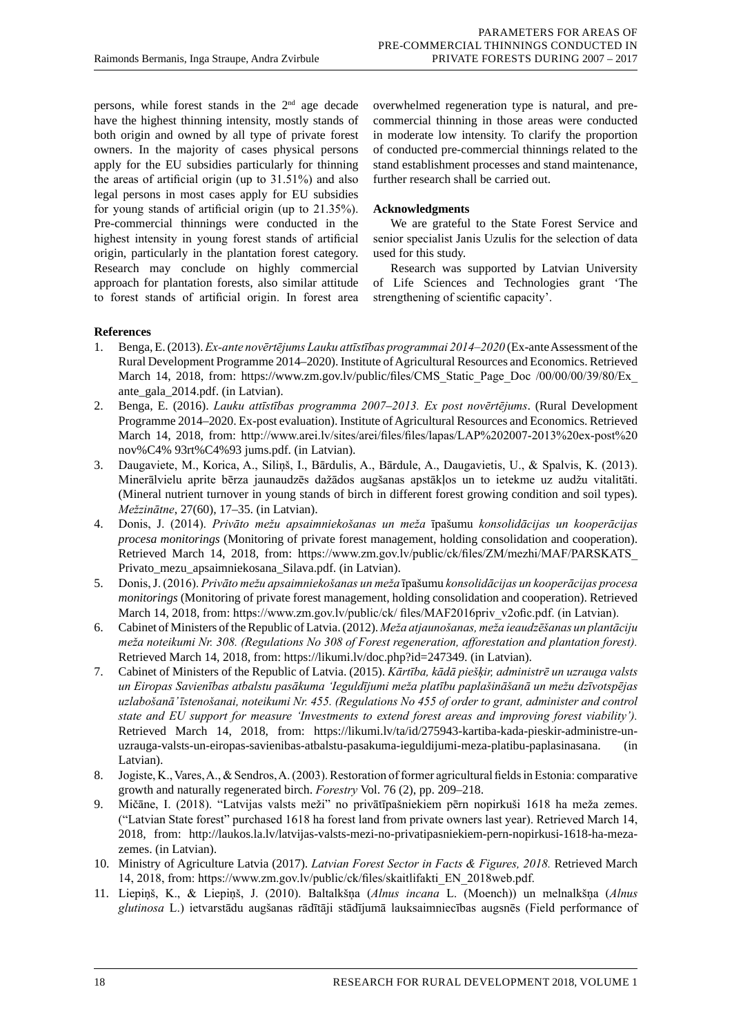persons, while forest stands in the 2<sup>nd</sup> age decade have the highest thinning intensity, mostly stands of both origin and owned by all type of private forest owners. In the majority of cases physical persons apply for the EU subsidies particularly for thinning the areas of artificial origin (up to 31.51%) and also legal persons in most cases apply for EU subsidies for young stands of artificial origin (up to 21.35%). Pre-commercial thinnings were conducted in the highest intensity in young forest stands of artificial origin, particularly in the plantation forest category. Research may conclude on highly commercial approach for plantation forests, also similar attitude to forest stands of artificial origin. In forest area

overwhelmed regeneration type is natural, and precommercial thinning in those areas were conducted in moderate low intensity. To clarify the proportion of conducted pre-commercial thinnings related to the stand establishment processes and stand maintenance, further research shall be carried out.

# **Acknowledgments**

We are grateful to the State Forest Service and senior specialist Janis Uzulis for the selection of data used for this study.

Research was supported by Latvian University of Life Sciences and Technologies grant 'The strengthening of scientific capacity'.

# **References**

- 1. Benga, E. (2013). *Ex-ante novērtējums Lauku attīstības programmai 2014–2020* (Ex-ante Assessment of the Rural Development Programme 2014–2020). Institute of Agricultural Resources and Economics. Retrieved March 14, 2018, from: https://www.zm.gov.lv/public/files/CMS Static Page Doc /00/00/00/39/80/Ex ante\_gala\_2014.pdf. (in Latvian).
- 2. Benga, E. (2016). *Lauku attīstības programma 2007*–*2013. Ex post novērtējums*. (Rural Development Programme 2014–2020. Ex-post evaluation). Institute of Agricultural Resources and Economics. Retrieved March 14, 2018, from: http://www.arei.lv/sites/arei/files/files/lapas/LAP%202007-2013%20ex-post%20 nov%C4% 93rt%C4%93 jums.pdf. (in Latvian).
- 3. Daugaviete, M., Korica, A., Siliņš, I., Bārdulis, A., Bārdule, A., Daugavietis, U., & Spalvis, K. (2013). Minerālvielu aprite bērza jaunaudzēs dažādos augšanas apstākļos un to ietekme uz audžu vitalitāti. (Mineral nutrient turnover in young stands of birch in different forest growing condition and soil types). *Mežzinātne*, 27(60), 17–35. (in Latvian).
- 4. Donis, J. (2014). *Privāto mežu apsaimniekošanas un meža* īpašumu *konsolidācijas un kooperācijas procesa monitorings* (Monitoring of private forest management, holding consolidation and cooperation). Retrieved March 14, 2018, from: https://www.zm.gov.lv/public/ck/files/ZM/mezhi/MAF/PARSKATS\_ Privato\_mezu\_apsaimniekosana\_Silava.pdf. (in Latvian).
- 5. Donis, J. (2016). *Privāto mežu apsaimniekošanas un meža* īpašumu *konsolidācijas un kooperācijas procesa monitorings* (Monitoring of private forest management, holding consolidation and cooperation). Retrieved March 14, 2018, from: https://www.zm.gov.lv/public/ck/ files/MAF2016priv\_v2ofic.pdf. (in Latvian).
- 6. Cabinet of Ministers of the Republic of Latvia. (2012). *Meža atjaunošanas, meža ieaudzēšanas un plantāciju meža noteikumi Nr. 308. (Regulations No 308 of Forest regeneration, afforestation and plantation forest).* Retrieved March 14, 2018, from: https://likumi.lv/doc.php?id=247349. (in Latvian).
- 7. Cabinet of Ministers of the Republic of Latvia. (2015). *Kārtība, kādā piešķir, administrē un uzrauga valsts un Eiropas Savienības atbalstu pasākuma 'Ieguldījumi meža platību paplašināšanā un mežu dzīvotspējas uzlabošanā' īstenošanai, noteikumi Nr. 455. (Regulations No 455 of order to grant, administer and control state and EU support for measure 'Investments to extend forest areas and improving forest viability').*  Retrieved March 14, 2018, from: https://likumi.lv/ta/id/275943-kartiba-kada-pieskir-administre-unuzrauga-valsts-un-eiropas-savienibas-atbalstu-pasakuma-ieguldijumi-meza-platibu-paplasinasana. (in Latvian).
- 8. Jogiste, K., Vares, A., & Sendros, A. (2003). Restoration of former agricultural fields in Estonia: comparative growth and naturally regenerated birch. *Forestry* Vol. 76 (2), pp. 209–218.
- 9. Mičāne, I. (2018). "Latvijas valsts meži" no privātīpašniekiem pērn nopirkuši 1618 ha meža zemes. ("Latvian State forest" purchased 1618 ha forest land from private owners last year). Retrieved March 14, 2018, from: http://laukos.la.lv/latvijas-valsts-mezi-no-privatipasniekiem-pern-nopirkusi-1618-ha-mezazemes. (in Latvian).
- 10. Ministry of Agriculture Latvia (2017). *Latvian Forest Sector in Facts & Figures, 2018.* Retrieved March 14, 2018, from: https://www.zm.gov.lv/public/ck/files/skaitlifakti\_EN\_2018web.pdf.
- 11. Liepiņš, K., & Liepiņš, J. (2010). Baltalkšņa (*Alnus incana* L. (Moench)) un melnalkšņa (*Alnus glutinosa* L.) ietvarstādu augšanas rādītāji stādījumā lauksaimniecības augsnēs (Field performance of